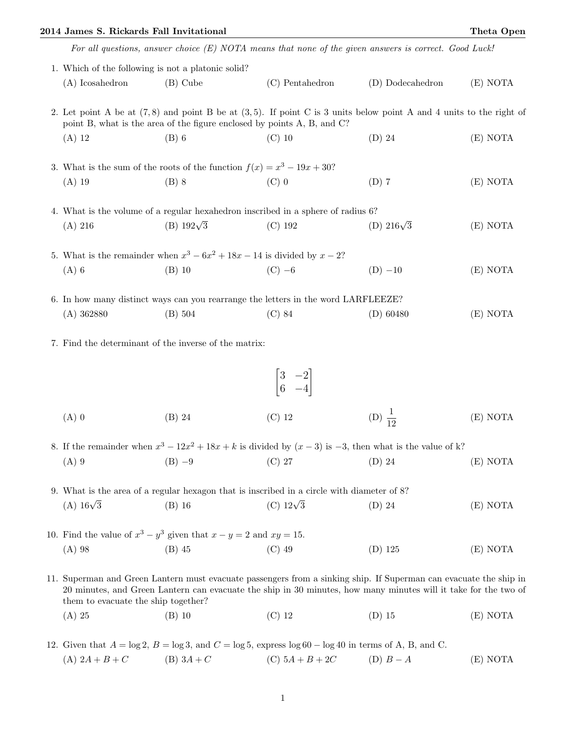## 2014 James S. Rickards Fall Invitational Theta Open

|                                                                                                                                                                                                     |                                                                               |                                                                                            | For all questions, answer choice $(E)$ NOTA means that none of the given answers is correct. Good Luck!                                                                                                                              |          |
|-----------------------------------------------------------------------------------------------------------------------------------------------------------------------------------------------------|-------------------------------------------------------------------------------|--------------------------------------------------------------------------------------------|--------------------------------------------------------------------------------------------------------------------------------------------------------------------------------------------------------------------------------------|----------|
| 1. Which of the following is not a platonic solid?                                                                                                                                                  |                                                                               |                                                                                            |                                                                                                                                                                                                                                      |          |
| $(A)$ Icosahedron                                                                                                                                                                                   | $(B)$ Cube                                                                    | $(C)$ Pentahedron                                                                          | (D) Dodecahedron                                                                                                                                                                                                                     | (E) NOTA |
| 2. Let point A be at $(7,8)$ and point B be at $(3,5)$ . If point C is 3 units below point A and 4 units to the right of<br>point B, what is the area of the figure enclosed by points A, B, and C? |                                                                               |                                                                                            |                                                                                                                                                                                                                                      |          |
| $(A)$ 12                                                                                                                                                                                            | $(B)$ 6                                                                       | $(C)$ 10                                                                                   | $(D)$ 24                                                                                                                                                                                                                             | (E) NOTA |
|                                                                                                                                                                                                     | 3. What is the sum of the roots of the function $f(x) = x^3 - 19x + 30$ ?     |                                                                                            |                                                                                                                                                                                                                                      |          |
| $(A)$ 19                                                                                                                                                                                            | $(B)$ 8                                                                       | $(C)$ 0                                                                                    | $(D)$ 7                                                                                                                                                                                                                              | (E) NOTA |
|                                                                                                                                                                                                     |                                                                               | 4. What is the volume of a regular hexahedron inscribed in a sphere of radius 6?           |                                                                                                                                                                                                                                      |          |
| $(A)$ 216                                                                                                                                                                                           | (B) $192\sqrt{3}$                                                             | (C) 192                                                                                    | (D) $216\sqrt{3}$                                                                                                                                                                                                                    | (E) NOTA |
|                                                                                                                                                                                                     | 5. What is the remainder when $x^3 - 6x^2 + 18x - 14$ is divided by $x - 2$ ? |                                                                                            |                                                                                                                                                                                                                                      |          |
| $(A)$ 6                                                                                                                                                                                             | $(B)$ 10                                                                      | $(C)$ -6                                                                                   | $(D) -10$                                                                                                                                                                                                                            | (E) NOTA |
|                                                                                                                                                                                                     |                                                                               | 6. In how many distinct ways can you rearrange the letters in the word LARFLEEZE?          |                                                                                                                                                                                                                                      |          |
| $(A)$ 362880                                                                                                                                                                                        | (B) 504                                                                       | $(C)$ 84                                                                                   | $(D)$ 60480                                                                                                                                                                                                                          | (E) NOTA |
|                                                                                                                                                                                                     | 7. Find the determinant of the inverse of the matrix:                         |                                                                                            |                                                                                                                                                                                                                                      |          |
|                                                                                                                                                                                                     |                                                                               | $\begin{bmatrix} 3 & -2 \\ 6 & -4 \end{bmatrix}$                                           |                                                                                                                                                                                                                                      |          |
| $(A)$ 0                                                                                                                                                                                             | $(B)$ 24                                                                      | $(C)$ 12                                                                                   | (D) $\frac{1}{12}$                                                                                                                                                                                                                   | (E) NOTA |
| 8. If the remainder when $x^3 - 12x^2 + 18x + k$ is divided by $(x - 3)$ is $-3$ , then what is the value of k?                                                                                     |                                                                               |                                                                                            |                                                                                                                                                                                                                                      |          |
| $(A)$ 9                                                                                                                                                                                             | $(B) -9$                                                                      | $(C)$ 27                                                                                   | $(D)$ 24                                                                                                                                                                                                                             | (E) NOTA |
|                                                                                                                                                                                                     |                                                                               | 9. What is the area of a regular hexagon that is inscribed in a circle with diameter of 8? |                                                                                                                                                                                                                                      |          |
| $(A)$ 16 $\sqrt{3}$                                                                                                                                                                                 | $(B)$ 16                                                                      | (C) $12\sqrt{3}$                                                                           | $(D)$ 24                                                                                                                                                                                                                             | (E) NOTA |
|                                                                                                                                                                                                     | 10. Find the value of $x^3 - y^3$ given that $x - y = 2$ and $xy = 15$ .      |                                                                                            |                                                                                                                                                                                                                                      |          |
| $(A)$ 98                                                                                                                                                                                            | $(B)$ 45                                                                      | $(C)$ 49                                                                                   | $(D)$ 125                                                                                                                                                                                                                            | (E) NOTA |
| them to evacuate the ship together?                                                                                                                                                                 |                                                                               |                                                                                            | 11. Superman and Green Lantern must evacuate passengers from a sinking ship. If Superman can evacuate the ship in<br>20 minutes, and Green Lantern can evacuate the ship in 30 minutes, how many minutes will it take for the two of |          |
| $(A)$ 25                                                                                                                                                                                            | $(B)$ 10                                                                      | $(C)$ 12                                                                                   | $(D)$ 15                                                                                                                                                                                                                             | (E) NOTA |
|                                                                                                                                                                                                     |                                                                               |                                                                                            |                                                                                                                                                                                                                                      |          |

12. Given that  $A = \log 2$ ,  $B = \log 3$ , and  $C = \log 5$ , express  $\log 60 - \log 40$  in terms of A, B, and C. (A)  $2A + B + C$  (B)  $3A + C$  (C)  $5A + B + 2C$  (D)  $B - A$  (E) NOTA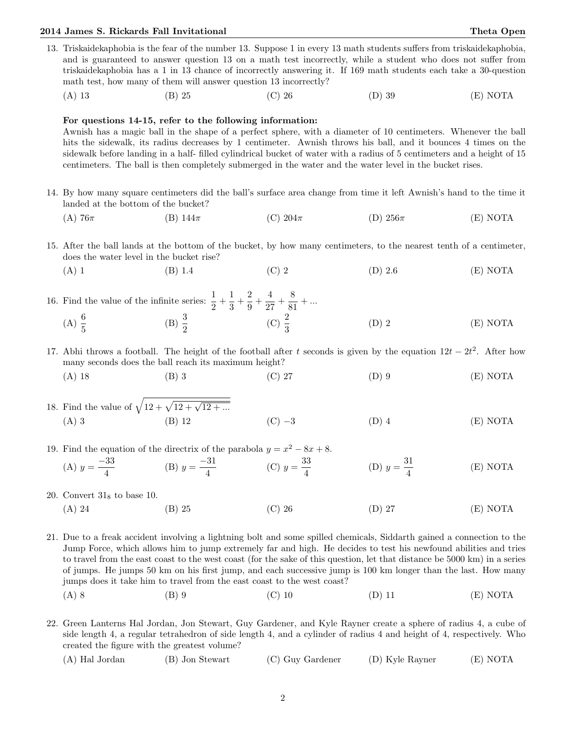## 2014 James S. Rickards Fall Invitational Theta Open

13. Triskaidekaphobia is the fear of the number 13. Suppose 1 in every 13 math students suffers from triskaidekaphobia, and is guaranteed to answer question 13 on a math test incorrectly, while a student who does not suffer from triskaidekaphobia has a 1 in 13 chance of incorrectly answering it. If 169 math students each take a 30-question math test, how many of them will answer question 13 incorrectly? (A) 13 (B) 25 (C) 26 (D) 39 (E) NOTA

## For questions 14-15, refer to the following information:

Awnish has a magic ball in the shape of a perfect sphere, with a diameter of 10 centimeters. Whenever the ball hits the sidewalk, its radius decreases by 1 centimeter. Awnish throws his ball, and it bounces 4 times on the sidewalk before landing in a half- filled cylindrical bucket of water with a radius of 5 centimeters and a height of 15 centimeters. The ball is then completely submerged in the water and the water level in the bucket rises.

- 14. By how many square centimeters did the ball's surface area change from time it left Awnish's hand to the time it landed at the bottom of the bucket?
	- (A) 76 $\pi$  (B) 144 $\pi$  (C) 204 $\pi$  (D) 256 $\pi$  (E) NOTA
- 15. After the ball lands at the bottom of the bucket, by how many centimeters, to the nearest tenth of a centimeter, does the water level in the bucket rise?
	- (A) 1 (B) 1.4 (C) 2 (D) 2.6 (E) NOTA
- 16. Find the value of the infinite series:  $\frac{1}{2} + \frac{1}{3}$  $\frac{1}{3} + \frac{2}{9}$  $\frac{2}{9} + \frac{4}{27}$  $\frac{4}{27} + \frac{8}{81}$  $\frac{8}{81} + ...$ (A)  $\frac{6}{5}$ (B)  $\frac{3}{2}$ (C)  $\frac{2}{3}$  $(D) 2$   $(E) NOTA$
- 17. Abhi throws a football. The height of the football after t seconds is given by the equation  $12t 2t^2$ . After how many seconds does the ball reach its maximum height?
	- (A) 18 (B) 3 (C) 27 (D) 9 (E) NOTA
- 18. Find the value of  $\sqrt{12 + \sqrt{12 + \sqrt{12 + \dots}}}$ (A) 3 (B) 12 (C) −3 (D) 4 (E) NOTA
- 19. Find the equation of the directrix of the parabola  $y = x^2 8x + 8$ .
	- (A)  $y = \frac{-33}{4}$  $\frac{33}{4}$  (B)  $y = \frac{-31}{4}$  $rac{31}{4}$  (C)  $y = \frac{33}{4}$ 4 (D)  $y = \frac{31}{4}$ 4 (E) NOTA
- 20. Convert  $31<sub>8</sub>$  to base 10.
	- (A) 24 (B) 25 (C) 26 (D) 27 (E) NOTA
- 21. Due to a freak accident involving a lightning bolt and some spilled chemicals, Siddarth gained a connection to the Jump Force, which allows him to jump extremely far and high. He decides to test his newfound abilities and tries to travel from the east coast to the west coast (for the sake of this question, let that distance be 5000 km) in a series of jumps. He jumps 50 km on his first jump, and each successive jump is 100 km longer than the last. How many jumps does it take him to travel from the east coast to the west coast?
	- (A) 8 (B) 9 (C) 10 (D) 11 (E) NOTA
- 22. Green Lanterns Hal Jordan, Jon Stewart, Guy Gardener, and Kyle Rayner create a sphere of radius 4, a cube of side length 4, a regular tetrahedron of side length 4, and a cylinder of radius 4 and height of 4, respectively. Who created the figure with the greatest volume?
	- (A) Hal Jordan (B) Jon Stewart (C) Guy Gardener (D) Kyle Rayner (E) NOTA